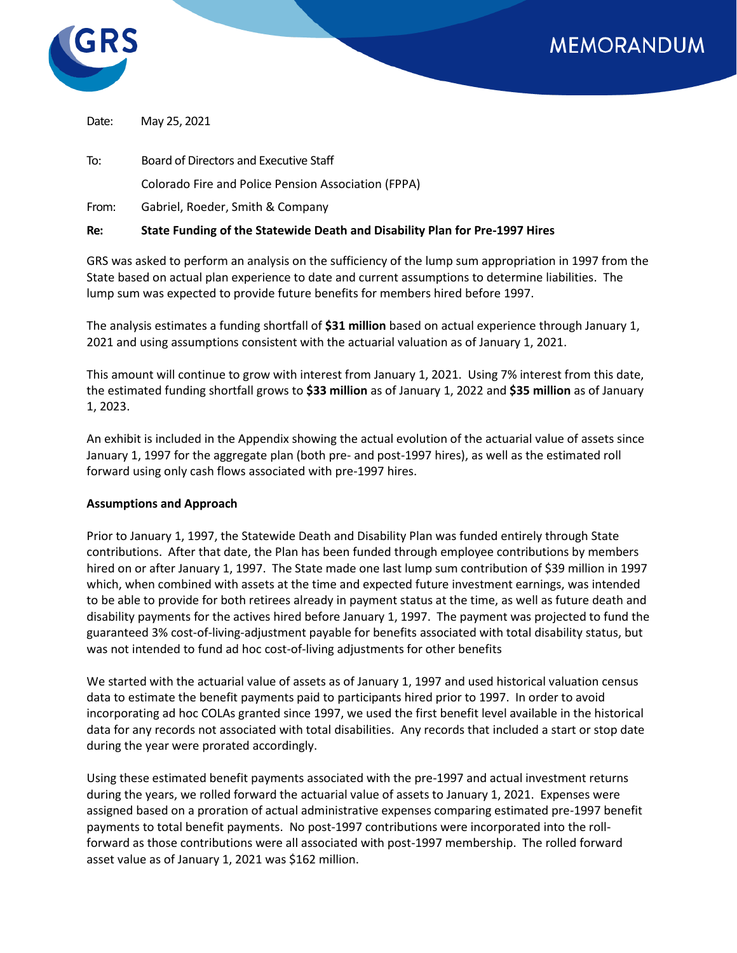



Date: May 25, 2021

To: Board of Directors and Executive Staff Colorado Fire and Police Pension Association (FPPA)

From: Gabriel, Roeder, Smith & Company

## **Re: State Funding of the Statewide Death and Disability Plan for Pre-1997 Hires**

GRS was asked to perform an analysis on the sufficiency of the lump sum appropriation in 1997 from the State based on actual plan experience to date and current assumptions to determine liabilities. The lump sum was expected to provide future benefits for members hired before 1997.

The analysis estimates a funding shortfall of **\$31 million** based on actual experience through January 1, 2021 and using assumptions consistent with the actuarial valuation as of January 1, 2021.

This amount will continue to grow with interest from January 1, 2021. Using 7% interest from this date, the estimated funding shortfall grows to **\$33 million** as of January 1, 2022 and **\$35 million** as of January 1, 2023.

An exhibit is included in the Appendix showing the actual evolution of the actuarial value of assets since January 1, 1997 for the aggregate plan (both pre- and post-1997 hires), as well as the estimated roll forward using only cash flows associated with pre-1997 hires.

## **Assumptions and Approach**

Prior to January 1, 1997, the Statewide Death and Disability Plan was funded entirely through State contributions. After that date, the Plan has been funded through employee contributions by members hired on or after January 1, 1997. The State made one last lump sum contribution of \$39 million in 1997 which, when combined with assets at the time and expected future investment earnings, was intended to be able to provide for both retirees already in payment status at the time, as well as future death and disability payments for the actives hired before January 1, 1997. The payment was projected to fund the guaranteed 3% cost-of-living-adjustment payable for benefits associated with total disability status, but was not intended to fund ad hoc cost-of-living adjustments for other benefits

We started with the actuarial value of assets as of January 1, 1997 and used historical valuation census data to estimate the benefit payments paid to participants hired prior to 1997. In order to avoid incorporating ad hoc COLAs granted since 1997, we used the first benefit level available in the historical data for any records not associated with total disabilities. Any records that included a start or stop date during the year were prorated accordingly.

Using these estimated benefit payments associated with the pre-1997 and actual investment returns during the years, we rolled forward the actuarial value of assets to January 1, 2021. Expenses were assigned based on a proration of actual administrative expenses comparing estimated pre-1997 benefit payments to total benefit payments. No post-1997 contributions were incorporated into the rollforward as those contributions were all associated with post-1997 membership. The rolled forward asset value as of January 1, 2021 was \$162 million.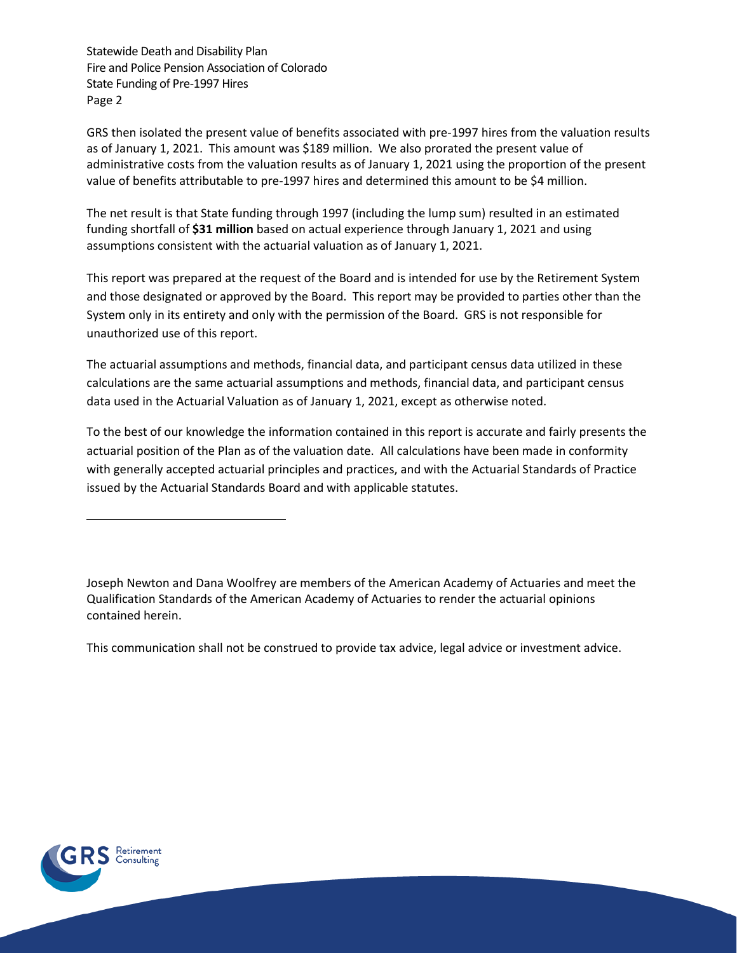Statewide Death and Disability Plan Fire and Police Pension Association of Colorado State Funding of Pre-1997 Hires Page 2

GRS then isolated the present value of benefits associated with pre-1997 hires from the valuation results as of January 1, 2021. This amount was \$189 million. We also prorated the present value of administrative costs from the valuation results as of January 1, 2021 using the proportion of the present value of benefits attributable to pre-1997 hires and determined this amount to be \$4 million.

The net result is that State funding through 1997 (including the lump sum) resulted in an estimated funding shortfall of **\$31 million** based on actual experience through January 1, 2021 and using assumptions consistent with the actuarial valuation as of January 1, 2021.

This report was prepared at the request of the Board and is intended for use by the Retirement System and those designated or approved by the Board. This report may be provided to parties other than the System only in its entirety and only with the permission of the Board. GRS is not responsible for unauthorized use of this report.

The actuarial assumptions and methods, financial data, and participant census data utilized in these calculations are the same actuarial assumptions and methods, financial data, and participant census data used in the Actuarial Valuation as of January 1, 2021, except as otherwise noted.

To the best of our knowledge the information contained in this report is accurate and fairly presents the actuarial position of the Plan as of the valuation date. All calculations have been made in conformity with generally accepted actuarial principles and practices, and with the Actuarial Standards of Practice issued by the Actuarial Standards Board and with applicable statutes.

Joseph Newton and Dana Woolfrey are members of the American Academy of Actuaries and meet the Qualification Standards of the American Academy of Actuaries to render the actuarial opinions contained herein.

This communication shall not be construed to provide tax advice, legal advice or investment advice.